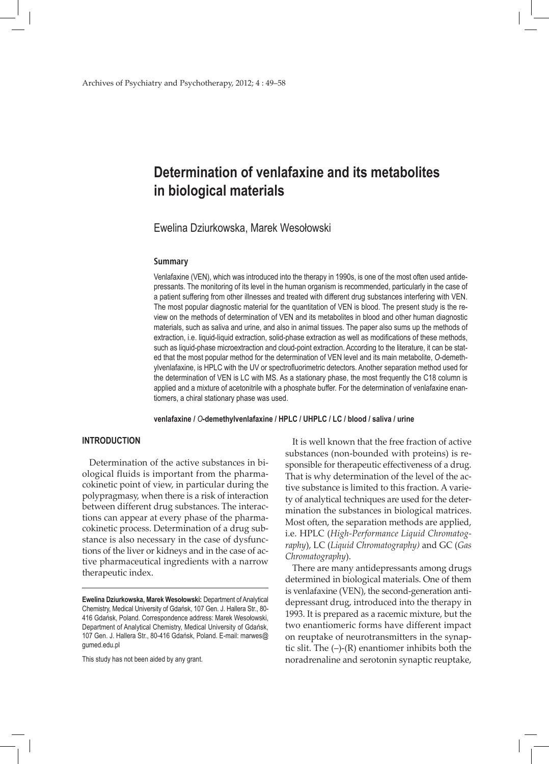# **Determination of venlafaxine and its metabolites in biological materials**

Ewelina Dziurkowska, Marek Wesołowski

### **Summary**

Venlafaxine (VEN), which was introduced into the therapy in 1990s, is one of the most often used antidepressants. The monitoring of its level in the human organism is recommended, particularly in the case of a patient suffering from other illnesses and treated with different drug substances interfering with VEN. The most popular diagnostic material for the quantitation of VEN is blood. The present study is the review on the methods of determination of VEN and its metabolites in blood and other human diagnostic materials, such as saliva and urine, and also in animal tissues. The paper also sums up the methods of extraction, i.e. liquid-liquid extraction, solid-phase extraction as well as modifications of these methods, such as liquid-phase microextraction and cloud-point extraction. According to the literature, it can be stated that the most popular method for the determination of VEN level and its main metabolite, *O*-demethylvenlafaxine, is HPLC with the UV or spectrofluorimetric detectors. Another separation method used for the determination of VEN is LC with MS. As a stationary phase, the most frequently the C18 column is applied and a mixture of acetonitrile with a phosphate buffer. For the determination of venlafaxine enantiomers, a chiral stationary phase was used.

**venlafaxine /** *O***-demethylvenlafaxine / HPLC / UHPLC / LC / blood / saliva / urine**

# **INTRODUCTION**

Determination of the active substances in biological fluids is important from the pharmacokinetic point of view, in particular during the polypragmasy, when there is a risk of interaction between different drug substances. The interactions can appear at every phase of the pharmacokinetic process. Determination of a drug substance is also necessary in the case of dysfunctions of the liver or kidneys and in the case of active pharmaceutical ingredients with a narrow therapeutic index.

This study has not been aided by any grant.

It is well known that the free fraction of active substances (non-bounded with proteins) is responsible for therapeutic effectiveness of a drug. That is why determination of the level of the active substance is limited to this fraction. A variety of analytical techniques are used for the determination the substances in biological matrices. Most often, the separation methods are applied, i.e. HPLC (*High-Performance Liquid Chromatography*), LC (*Liquid Chromatography)* and GC (*Gas Chromatography*).

There are many antidepressants among drugs determined in biological materials. One of them is venlafaxine (VEN), the second-generation antidepressant drug, introduced into the therapy in 1993. It is prepared as a racemic mixture, but the two enantiomeric forms have different impact on reuptake of neurotransmitters in the synaptic slit. The (–)-(R) enantiomer inhibits both the noradrenaline and serotonin synaptic reuptake,

**Ewelina Dziurkowska, Marek Wesołowski:** Department of Analytical Chemistry, Medical University of Gdańsk, 107 Gen. J. Hallera Str., 80- 416 Gdańsk, Poland. Correspondence address: Marek Wesołowski, Department of Analytical Chemistry, Medical University of Gdańsk, 107 Gen. J. Hallera Str., 80-416 Gdańsk, Poland. E-mail: marwes@ gumed.edu.pl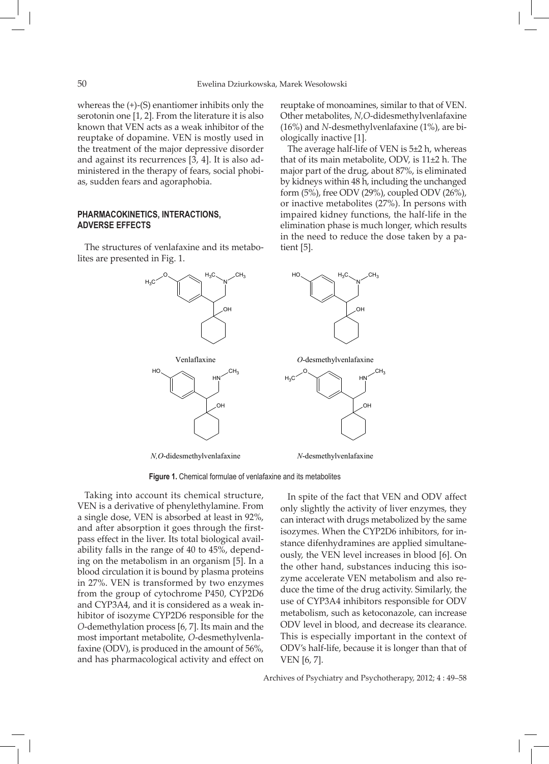whereas the (+)-(S) enantiomer inhibits only the serotonin one [1, 2]. From the literature it is also known that VEN acts as a weak inhibitor of the reuptake of dopamine. VEN is mostly used in the treatment of the major depressive disorder and against its recurrences [3, 4]. It is also administered in the therapy of fears, social phobias, sudden fears and agoraphobia.

## **Pharmacokinetics, interactions, adverse effects**

The structures of venlafaxine and its metabolites are presented in Fig. 1.

N O H3C CH3  $_{\rm H_3C}$ OH Venlaflaxine N  $H_3C \sim H_3C \sim C H_3$ OH *O*-desmethylvenlafaxine HN  $H_0 \sim 1$  CH<sub>3</sub>  $\cap$ HN  $_{\rm H_3C}$  $\cap$ 

*N,O*-didesmethylvenlafaxine

*N*-desmethylvenlafaxine

**Figure 1.** Chemical formulae of venlafaxine and its metabolites

Taking into account its chemical structure, VEN is a derivative of phenylethylamine. From a single dose, VEN is absorbed at least in 92%, and after absorption it goes through the firstpass effect in the liver. Its total biological availability falls in the range of 40 to 45%, depending on the metabolism in an organism [5]. In a blood circulation it is bound by plasma proteins in 27%. VEN is transformed by two enzymes from the group of cytochrome P450, CYP2D6 and CYP3A4, and it is considered as a weak inhibitor of isozyme CYP2D6 responsible for the *O*-demethylation process [6, 7]. Its main and the most important metabolite, *O*-desmethylvenlafaxine (ODV), is produced in the amount of 56%, and has pharmacological activity and effect on

In spite of the fact that VEN and ODV affect only slightly the activity of liver enzymes, they can interact with drugs metabolized by the same isozymes. When the CYP2D6 inhibitors, for instance difenhydramines are applied simultaneously, the VEN level increases in blood [6]. On the other hand, substances inducing this isozyme accelerate VEN metabolism and also reduce the time of the drug activity. Similarly, the use of CYP3A4 inhibitors responsible for ODV metabolism, such as ketoconazole, can increase ODV level in blood, and decrease its clearance. This is especially important in the context of ODV's half-life, because it is longer than that of VEN [6, 7].

reuptake of monoamines, similar to that of VEN. Other metabolites, *N,O*-didesmethylvenlafaxine (16%) and *N*-desmethylvenlafaxine (1%), are bi-

The average half-life of VEN is 5±2 h, whereas that of its main metabolite, ODV, is 11±2 h. The major part of the drug, about 87%, is eliminated by kidneys within 48 h, including the unchanged form (5%), free ODV (29%), coupled ODV (26%), or inactive metabolites (27%). In persons with impaired kidney functions, the half-life in the elimination phase is much longer, which results in the need to reduce the dose taken by a pa-

Archives of Psychiatry and Psychotherapy, 2012; 4 : 49–58





ologically inactive [1].

tient [5].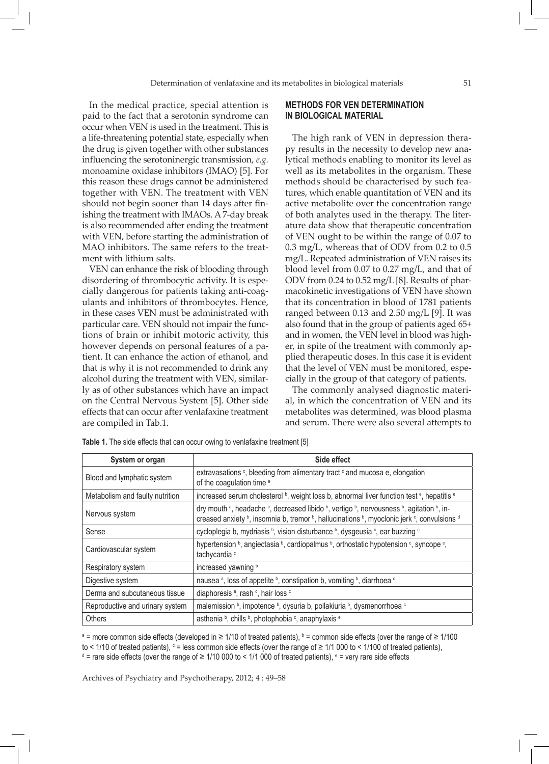In the medical practice, special attention is paid to the fact that a serotonin syndrome can occur when VEN is used in the treatment. This is a life-threatening potential state, especially when the drug is given together with other substances influencing the serotoninergic transmission, *e.g.* monoamine oxidase inhibitors (IMAO) [5]. For this reason these drugs cannot be administered together with VEN. The treatment with VEN should not begin sooner than 14 days after finishing the treatment with IMAOs. A 7-day break is also recommended after ending the treatment with VEN, before starting the administration of MAO inhibitors. The same refers to the treatment with lithium salts.

VEN can enhance the risk of blooding through disordering of thrombocytic activity. It is especially dangerous for patients taking anti-coagulants and inhibitors of thrombocytes. Hence, in these cases VEN must be administrated with particular care. VEN should not impair the functions of brain or inhibit motoric activity, this however depends on personal features of a patient. It can enhance the action of ethanol, and that is why it is not recommended to drink any alcohol during the treatment with VEN, similarly as of other substances which have an impact on the Central Nervous System [5]. Other side effects that can occur after venlafaxine treatment are compiled in Tab.1.

## **Methods for VEN determination in biological material**

The high rank of VEN in depression therapy results in the necessity to develop new analytical methods enabling to monitor its level as well as its metabolites in the organism. These methods should be characterised by such features, which enable quantitation of VEN and its active metabolite over the concentration range of both analytes used in the therapy. The literature data show that therapeutic concentration of VEN ought to be within the range of 0.07 to 0.3 mg/L, whereas that of ODV from 0.2 to 0.5 mg/L. Repeated administration of VEN raises its blood level from 0.07 to 0.27 mg/L, and that of ODV from 0.24 to 0.52 mg/L [8]. Results of pharmacokinetic investigations of VEN have shown that its concentration in blood of 1781 patients ranged between 0.13 and 2.50 mg/L [9]. It was also found that in the group of patients aged 65+ and in women, the VEN level in blood was higher, in spite of the treatment with commonly applied therapeutic doses. In this case it is evident that the level of VEN must be monitored, especially in the group of that category of patients.

The commonly analysed diagnostic material, in which the concentration of VEN and its metabolites was determined, was blood plasma and serum. There were also several attempts to

| System or organ                 | Side effect                                                                                                                                                                                                                                                                                                              |
|---------------------------------|--------------------------------------------------------------------------------------------------------------------------------------------------------------------------------------------------------------------------------------------------------------------------------------------------------------------------|
| Blood and lymphatic system      | extravasations c, bleeding from alimentary tract c and mucosa e, elongation<br>of the coagulation time <sup>e</sup>                                                                                                                                                                                                      |
| Metabolism and faulty nutrition | increased serum cholesterol b, weight loss b, abnormal liver function test <sup>e</sup> , hepatitis <sup>e</sup>                                                                                                                                                                                                         |
| Nervous system                  | dry mouth <sup>a</sup> , headache <sup>e</sup> , decreased libido <sup>b</sup> , vertigo <sup>b</sup> , nervousness <sup>b</sup> , agitation <sup>b</sup> , in-<br>creased anxiety <sup>b</sup> , insomnia b, tremor <sup>b</sup> , hallucinations <sup>b</sup> , myoclonic jerk <sup>c</sup> , convulsions <sup>d</sup> |
| Sense                           | cycloplegia b, mydriasis b, vision disturbance b, dysgeusia c, ear buzzing c                                                                                                                                                                                                                                             |
| Cardiovascular system           | hypertension b, angiectasia b, cardiopalmus b, orthostatic hypotension c, syncope c,<br>tachycardia <sup>c</sup>                                                                                                                                                                                                         |
| Respiratory system              | increased yawning b                                                                                                                                                                                                                                                                                                      |
| Digestive system                | nausea <sup>a</sup> , loss of appetite <sup>b</sup> , constipation b, vomiting <sup>b</sup> , diarrhoea <sup>c</sup>                                                                                                                                                                                                     |
| Derma and subcutaneous tissue   | diaphoresis <sup>a</sup> , rash <sup>c</sup> , hair loss <sup>c</sup>                                                                                                                                                                                                                                                    |
| Reproductive and urinary system | malemission b, impotence b, dysuria b, pollakiuria b, dysmenorrhoea c                                                                                                                                                                                                                                                    |
| Others                          | asthenia b, chills b, photophobia c, anaphylaxis e                                                                                                                                                                                                                                                                       |

**Table 1.** The side effects that can occur owing to venlafaxine treatment [5]

<sup>a</sup> = more common side effects (developed in ≥ 1/10 of treated patients), <sup>b</sup> = common side effects (over the range of ≥ 1/100 to < 1/10 of treated patients),  $\circ$  = less common side effects (over the range of ≥ 1/1 000 to < 1/100 of treated patients), d = rare side effects (over the range of ≥ 1/10 000 to < 1/1 000 of treated patients), <sup>e</sup> = very rare side effects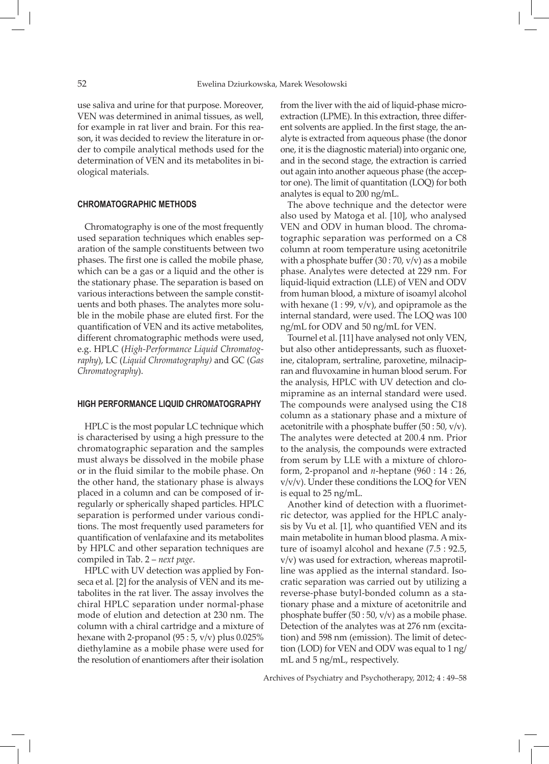use saliva and urine for that purpose. Moreover, VEN was determined in animal tissues, as well, for example in rat liver and brain. For this reason, it was decided to review the literature in order to compile analytical methods used for the determination of VEN and its metabolites in biological materials.

# **Chromatographic methods**

Chromatography is one of the most frequently used separation techniques which enables separation of the sample constituents between two phases. The first one is called the mobile phase, which can be a gas or a liquid and the other is the stationary phase. The separation is based on various interactions between the sample constituents and both phases. The analytes more soluble in the mobile phase are eluted first. For the quantification of VEN and its active metabolites, different chromatographic methods were used, e.g. HPLC (*High-Performance Liquid Chromatography*), LC (*Liquid Chromatography)* and GC (*Gas Chromatography*).

### **High Performance Liquid Chromatography**

HPLC is the most popular LC technique which is characterised by using a high pressure to the chromatographic separation and the samples must always be dissolved in the mobile phase or in the fluid similar to the mobile phase. On the other hand, the stationary phase is always placed in a column and can be composed of irregularly or spherically shaped particles. HPLC separation is performed under various conditions. The most frequently used parameters for quantification of venlafaxine and its metabolites by HPLC and other separation techniques are compiled in Tab. 2 – *next page*.

HPLC with UV detection was applied by Fonseca et al*.* [2] for the analysis of VEN and its metabolites in the rat liver. The assay involves the chiral HPLC separation under normal-phase mode of elution and detection at 230 nm. The column with a chiral cartridge and a mixture of hexane with 2-propanol  $(95:5, v/v)$  plus 0.025% diethylamine as a mobile phase were used for the resolution of enantiomers after their isolation

from the liver with the aid of liquid-phase microextraction (LPME). In this extraction, three different solvents are applied. In the first stage, the analyte is extracted from aqueous phase (the donor one, it is the diagnostic material) into organic one, and in the second stage, the extraction is carried out again into another aqueous phase (the acceptor one). The limit of quantitation (LOQ) for both analytes is equal to 200 ng/mL.

The above technique and the detector were also used by Matoga et al*.* [10], who analysed VEN and ODV in human blood. The chromatographic separation was performed on a C8 column at room temperature using acetonitrile with a phosphate buffer  $(30:70, v/v)$  as a mobile phase. Analytes were detected at 229 nm. For liquid-liquid extraction (LLE) of VEN and ODV from human blood, a mixture of isoamyl alcohol with hexane  $(1:99, v/v)$ , and opipramole as the internal standard, were used. The LOQ was 100 ng/mL for ODV and 50 ng/mL for VEN.

Tournel et al. [11] have analysed not only VEN, but also other antidepressants, such as fluoxetine, citalopram, sertraline, paroxetine, milnacipran and fluvoxamine in human blood serum. For the analysis, HPLC with UV detection and clomipramine as an internal standard were used. The compounds were analysed using the C18 column as a stationary phase and a mixture of acetonitrile with a phosphate buffer (50 : 50, v/v). The analytes were detected at 200.4 nm. Prior to the analysis, the compounds were extracted from serum by LLE with a mixture of chloroform, 2-propanol and *n*-heptane (960 : 14 : 26, v/v/v). Under these conditions the LOQ for VEN is equal to 25 ng/mL.

Another kind of detection with a fluorimetric detector, was applied for the HPLC analysis by Vu et al*.* [1], who quantified VEN and its main metabolite in human blood plasma. A mixture of isoamyl alcohol and hexane (7.5 : 92.5, v/v) was used for extraction, whereas maprotilline was applied as the internal standard. Isocratic separation was carried out by utilizing a reverse-phase butyl-bonded column as a stationary phase and a mixture of acetonitrile and phosphate buffer  $(50:50, v/v)$  as a mobile phase. Detection of the analytes was at 276 nm (excitation) and 598 nm (emission). The limit of detection (LOD) for VEN and ODV was equal to 1 ng/ mL and 5 ng/mL, respectively.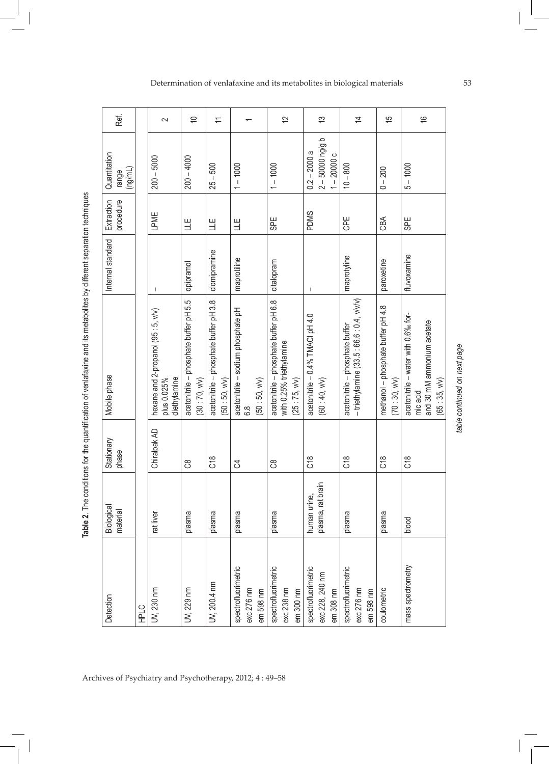**Table 2**. The conditions for the quantification of venlafaxine and its metabolites by different separation techniques

| Detection                                           | Biological<br>material            | Stationary<br>phase | Mobile phase                                                                                  | Internal standard | procedure<br>Extraction | Quantitation<br>(ng/mL)<br>range                  |  |
|-----------------------------------------------------|-----------------------------------|---------------------|-----------------------------------------------------------------------------------------------|-------------------|-------------------------|---------------------------------------------------|--|
| <b>HPLC</b>                                         |                                   |                     |                                                                                               |                   |                         |                                                   |  |
| UV, 230 nm                                          | rat liver                         | Chiralpak AD        | hexane and 2-propanol (95 : 5, v/v)<br>plus 0.025%<br>diethylamine                            | T                 | LPME                    | $200 - 5000$                                      |  |
| UV, 229 nm                                          | plasma                            | ဗိ                  | acetonitrile - phosphate buffer pH 5.5<br>(30:70, v/v)                                        | opipramol         | 当                       | $200 - 4000$                                      |  |
| UV, 200.4 nm                                        | plasma                            | C18                 | acetonitrile - phosphate buffer pH 3.8<br>(50:50, v/v)                                        | clomipramine      | 当                       | $25 - 500$                                        |  |
| spectrofluorimetric<br>exc 276 nm<br>em 598 nm      | plasma                            | ै                   | acetonitrile - sodium phosphate pH<br>(50:50, v/v)<br>$\frac{8}{6}$                           | maprotiline       | $\exists$               | $1 - 1000$                                        |  |
| spectrofluorimetric<br>exc 238 nm<br>em 300 nm      | plasma                            | ငိ                  | acetonitrile - phosphate buffer pH 6.8<br>with 0.25% triethylamine<br>(25:75, wv)             | citalopram        | <b>SPE</b>              | $1 - 1000$                                        |  |
| spectrofluorimetric<br>exc 228, 240 nm<br>em 308 nm | plasma, rat brain<br>human urine, | $\frac{8}{2}$       | acetonitrile - 0.4% TMACI pH 4.0<br>(60:40, v/v)                                              | T                 | <b>PDMS</b>             | $2 - 50000$ ng/g b<br>$0.2 - 2000a$<br>$-200000c$ |  |
| spectrofluorimetric<br>exc 276 nm<br>em 598 nm      | plasma                            | C18                 | - triethylamine (33.5 : 66.6 : 0.4, v/v/v)<br>acetonitrile - phosphate buffer                 | maprotyline       | <b>GPE</b>              | $10 - 800$                                        |  |
| coulometric                                         | plasma                            | $\frac{8}{2}$       | methanol - phosphate buffer pH 4.8<br>(70:30, v/v)                                            | paroxetine        | CBA                     | $0 - 200$                                         |  |
| mass spectrometry                                   | blood                             | C18                 | acetonitrile - water with 0.6% for-<br>and 30 mM ammonium acetate<br>(65:35, v/v)<br>mic acid | fluvoxamine       | <b>SPE</b>              | $5 - 1000$                                        |  |

# Determination of venlafaxine and its metabolites in biological materials 53

table continued on next page *table continued on next page*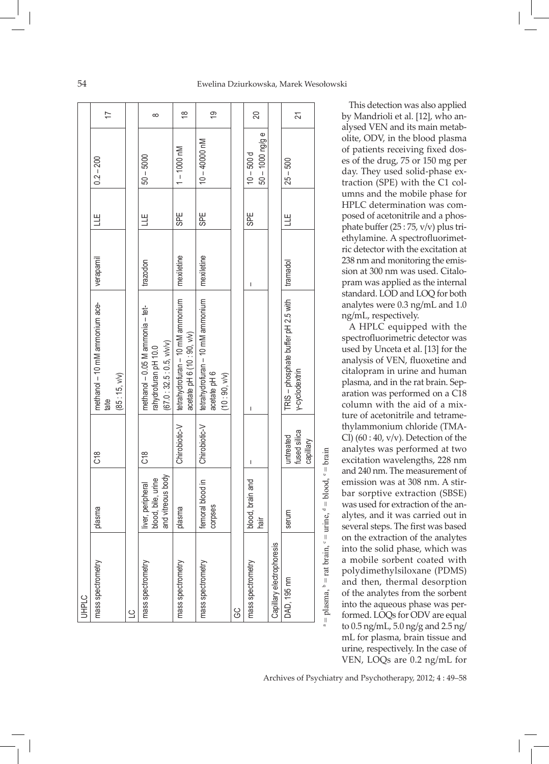| <b>UHPLC</b>                                                    |                                         |                    |                                                                 |            |            |                                    |                                 |
|-----------------------------------------------------------------|-----------------------------------------|--------------------|-----------------------------------------------------------------|------------|------------|------------------------------------|---------------------------------|
| mass spectrometry                                               | plasma                                  | C18                | methanol - 10 mM ammonium ace-<br>tate                          | verapamil  | H          | $0.2 - 200$                        | $\overline{\overline{1}}$       |
|                                                                 |                                         |                    | (85:15, V/V)                                                    |            |            |                                    |                                 |
| $\overline{C}$                                                  |                                         |                    |                                                                 |            |            |                                    |                                 |
| mass spectrometry                                               | blood, bile, urine<br>liver, peripheral | C18                | methanol - 0.05 M ammonia - tet-<br>rahydrofuran pH 10.0        | trazodon   | Ц          | $50 - 5000$                        | $\infty$                        |
|                                                                 | and vitreous body                       |                    | (67.0:32.5:0.5, v/v/v)                                          |            |            |                                    |                                 |
| mass spectrometry                                               | plasma                                  | Chirobiotic-V      | tetrahydrofuran - 10 mM ammonium<br>acetate pH 6 (10 : 90, v/v) | mexiletine | <b>SPE</b> | $1 - 1000$ nM                      | $\overset{\infty}{\rightarrow}$ |
| mass spectrometry                                               | femoral blood in                        | Chirobiotic-V      | tetrahydrofuran - 10 mM ammonium                                | mexiletine | <b>SPE</b> | $10 - 40000$ nM                    |                                 |
|                                                                 | corpses                                 |                    | acetate pH 6                                                    |            |            |                                    | <u>င်</u>                       |
|                                                                 |                                         |                    | (10:90, v/v)                                                    |            |            |                                    |                                 |
| 9C                                                              |                                         |                    |                                                                 |            |            |                                    |                                 |
| mass spectrometry                                               | blood, brain and<br>hair                | I                  | I                                                               | I          | 망.         | $50 - 1000$ ng/g e<br>$10 - 500 d$ | 20                              |
| Capillary electrophoresis                                       |                                         |                    |                                                                 |            |            |                                    |                                 |
| DAD, 195 nm                                                     | serum                                   | untreated          | TRIS - phosphate buffer pH 2.5 with                             | tramadol   | H          | $25 - 500$                         |                                 |
|                                                                 |                                         | fused silica       | y-cyclodextrin                                                  |            |            |                                    | 21                              |
|                                                                 |                                         | capillary          |                                                                 |            |            |                                    |                                 |
| plasma, $\beta$ = rat brain, $\gamma$ = urine, $\beta$ = blood, |                                         | $e = \text{brain}$ |                                                                 |            |            |                                    |                                 |

This detection was also applied by Mandrioli et al. [12], who analysed VEN and its main metabolite, ODV, in the blood plasma of patients receiving fixed doses of the drug, 75 or 150 mg per day. They used solid-phase extraction (SPE) with the C1 columns and the mobile phase for HPLC determination was composed of acetonitrile and a phosphate buffer (25 : 75, v/v) plus triethylamine. A spectrofluorimetric detector with the excitation at 238 nm and monitoring the emission at 300 nm was used. Citalopram was applied as the internal standard. LOD and LOQ for both analytes were 0.3 ng/mL and 1.0 ng/mL, respectively.

A HPLC equipped with the spectrofluorimetric detector was used by Unceta et al. [13] for the analysis of VEN, fluoxetine and citalopram in urine and human plasma, and in the rat brain. Separation was performed on a C18 column with the aid of a mixture of acetonitrile and tetramethylammonium chloride (TMA-Cl)  $(60:40, v/v)$ . Detection of the analytes was performed at two excitation wavelengths, 228 nm and 240 nm. The measurement of emission was at 308 nm. A stirbar sorptive extraction (SBSE) was used for extraction of the analytes, and it was carried out in several steps. The first was based on the extraction of the analytes into the solid phase, which was a mobile sorbent coated with polydimethylsiloxane (PDMS) and then, thermal desorption of the analytes from the sorbent into the aqueous phase was performed. LOQs for ODV are equal to 0.5 ng/mL, 5.0 ng/g and 2.5 ng/ mL for plasma, brain tissue and urine, respectively. In the case of VEN, LOQs are 0.2 ng/mL for

Archives of Psychiatry and Psychotherapy, 2012; 4 : 49–58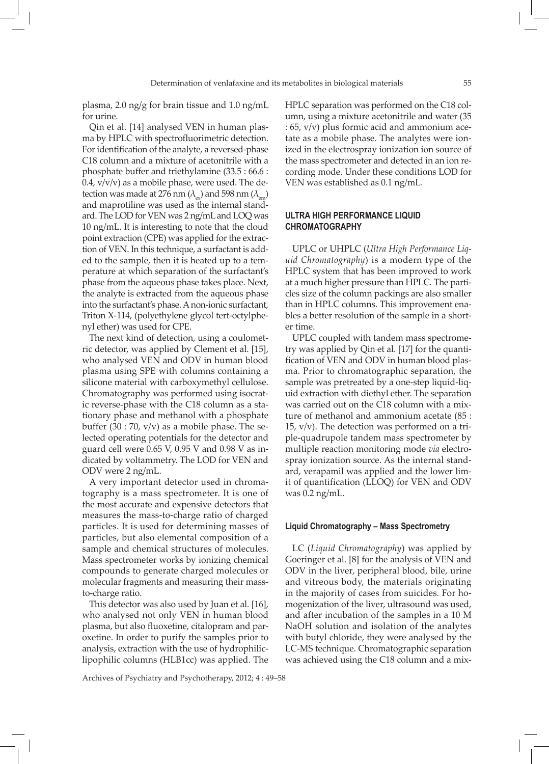plasma, 2.0 ng/g for brain tissue and 1.0 ng/mL for urine.

Qin et al. [14] analysed VEN in human plasma by HPLC with spectrofluorimetric detection. For identification of the analyte, a reversed-phase C18 column and a mixture of acetonitrile with a phosphate buffer and triethylamine (33.5 : 66.6 :  $0.4$ ,  $v/v/v$ ) as a mobile phase, were used. The detection was made at 276 nm  $(\lambda_{\text{av}})$  and 598 nm  $(\lambda_{\text{em}})$ and maprotiline was used as the internal standard. The LOD for VEN was 2 ng/mL and LOQ was 10 ng/mL. It is interesting to note that the cloud point extraction (CPE) was applied for the extraction of VEN. In this technique, a surfactant is added to the sample, then it is heated up to a temperature at which separation of the surfactant's phase from the aqueous phase takes place. Next, the analyte is extracted from the aqueous phase into the surfactant's phase. A non-ionic surfactant, Triton X-114, (polyethylene glycol tert-octylphenyl ether) was used for CPE.

The next kind of detection, using a coulometric detector, was applied by Clement et al. [15], who analysed VEN and ODV in human blood plasma using SPE with columns containing a silicone material with carboxymethyl cellulose. Chromatography was performed using isocratic reverse-phase with the C18 column as a stationary phase and methanol with a phosphate buffer  $(30:70, v/v)$  as a mobile phase. The selected operating potentials for the detector and guard cell were 0.65 V, 0.95 V and 0.98 V as indicated by voltammetry. The LOD for VEN and ODV were 2 ng/mL.

A very important detector used in chromatography is a mass spectrometer. It is one of the most accurate and expensive detectors that measures the mass-to-charge ratio of charged particles. It is used for determining masses of particles, but also elemental composition of a sample and chemical structures of molecules. Mass spectrometer works by ionizing chemical compounds to generate charged molecules or molecular fragments and measuring their massto-charge ratio.

This detector was also used by Juan et al*.* [16], who analysed not only VEN in human blood plasma, but also fluoxetine, citalopram and paroxetine. In order to purify the samples prior to analysis, extraction with the use of hydrophiliclipophilic columns (HLB1cc) was applied. The

Archives of Psychiatry and Psychotherapy, 2012; 4 : 49–58

HPLC separation was performed on the C18 column, using a mixture acetonitrile and water (35 : 65, v/v) plus formic acid and ammonium acetate as a mobile phase. The analytes were ionized in the electrospray ionization ion source of the mass spectrometer and detected in an ion recording mode. Under these conditions LOD for VEN was established as 0.1 ng/mL.

# **Ultra High Performance Liquid Chromatography**

UPLC or UHPLC (*Ultra High Performance Liquid Chromatography*) is a modern type of the HPLC system that has been improved to work at a much higher pressure than HPLC. The particles size of the column packings are also smaller than in HPLC columns. This improvement enables a better resolution of the sample in a shorter time.

UPLC coupled with tandem mass spectrometry was applied by Qin et al. [17] for the quantification of VEN and ODV in human blood plasma. Prior to chromatographic separation, the sample was pretreated by a one-step liquid-liquid extraction with diethyl ether. The separation was carried out on the C18 column with a mixture of methanol and ammonium acetate (85 : 15, v/v). The detection was performed on a triple-quadrupole tandem mass spectrometer by multiple reaction monitoring mode *via* electrospray ionization source. As the internal standard, verapamil was applied and the lower limit of quantification (LLOQ) for VEN and ODV was 0.2 ng/mL.

### **Liquid Chromatography – Mass Spectrometry**

LC (*Liquid Chromatography*) was applied by Goeringer et al. [8] for the analysis of VEN and ODV in the liver, peripheral blood, bile, urine and vitreous body, the materials originating in the majority of cases from suicides. For homogenization of the liver, ultrasound was used, and after incubation of the samples in a 10 M NaOH solution and isolation of the analytes with butyl chloride, they were analysed by the LC-MS technique. Chromatographic separation was achieved using the C18 column and a mix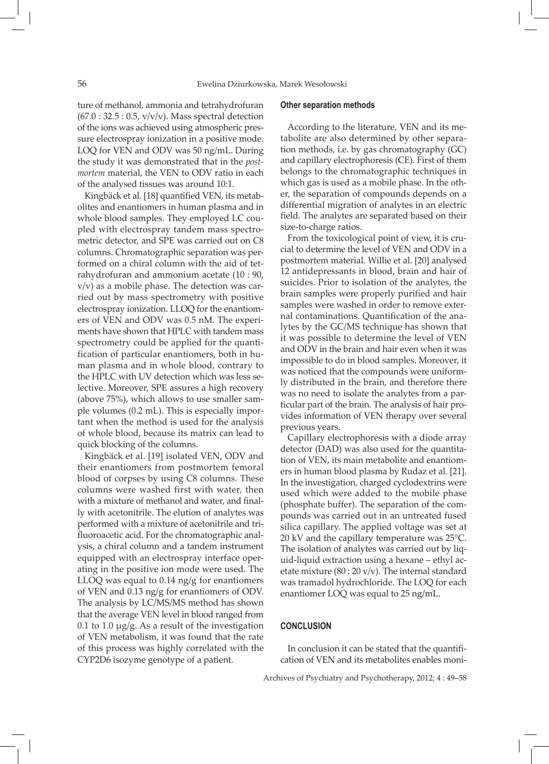ture of methanol, ammonia and tetrahydrofuran  $(67.0:32.5:0.5, v/v/v)$ . Mass spectral detection of the ions was achieved using atmospheric pressure electrospray ionization in a positive mode. LOQ for VEN and ODV was 50 ng/mL. During the study it was demonstrated that in the *postmortem* material, the VEN to ODV ratio in each of the analysed tissues was around 10:1.

Kingbäck et al*.* [18] quantified VEN, its metabolites and enantiomers in human plasma and in whole blood samples. They employed LC coupled with electrospray tandem mass spectrometric detector, and SPE was carried out on C8 columns. Chromatographic separation was performed on a chiral column with the aid of tetrahydrofuran and ammonium acetate (10 : 90, v/v) as a mobile phase. The detection was carried out by mass spectrometry with positive electrospray ionization. LLOQ for the enantiomers of VEN and ODV was 0.5 nM. The experiments have shown that HPLC with tandem mass spectrometry could be applied for the quantification of particular enantiomers, both in human plasma and in whole blood, contrary to the HPLC with UV detection which was less selective. Moreover, SPE assures a high recovery (above 75%), which allows to use smaller sample volumes (0.2 mL). This is especially important when the method is used for the analysis of whole blood, because its matrix can lead to quick blocking of the columns.

Kingbäck et al. [19] isolated VEN, ODV and their enantiomers from postmortem femoral blood of corpses by using C8 columns. These columns were washed first with water, then with a mixture of methanol and water, and finally with acetonitrile. The elution of analytes was performed with a mixture of acetonitrile and trifluoroacetic acid. For the chromatographic analysis, a chiral column and a tandem instrument equipped with an electrospray interface operating in the positive ion mode were used. The LLOQ was equal to 0.14 ng/g for enantiomers of VEN and 0.13 ng/g for enantiomers of ODV. The analysis by LC/MS/MS method has shown that the average VEN level in blood ranged from 0.1 to 1.0  $\mu$ g/g. As a result of the investigation of VEN metabolism, it was found that the rate of this process was highly correlated with the CYP2D6 isozyme genotype of a patient.

#### **Other separation methods**

According to the literature, VEN and its metabolite are also determined by other separation methods, i.e. by gas chromatography (GC) and capillary electrophoresis (CE). First of them belongs to the chromatographic techniques in which gas is used as a mobile phase. In the other, the separation of compounds depends on a differential migration of analytes in an electric field. The analytes are separated based on their size-to-charge ratios.

From the toxicological point of view, it is crucial to determine the level of VEN and ODV in a postmortem material. Willie et al. [20] analysed 12 antidepressants in blood, brain and hair of suicides. Prior to isolation of the analytes, the brain samples were properly purified and hair samples were washed in order to remove external contaminations. Quantification of the analytes by the GC/MS technique has shown that it was possible to determine the level of VEN and ODV in the brain and hair even when it was impossible to do in blood samples. Moreover, it was noticed that the compounds were uniformly distributed in the brain, and therefore there was no need to isolate the analytes from a particular part of the brain. The analysis of hair provides information of VEN therapy over several previous years.

Capillary electrophoresis with a diode array detector (DAD) was also used for the quantitation of VEN, its main metabolite and enantiomers in human blood plasma by Rudaz et al. [21]. In the investigation, charged cyclodextrins were used which were added to the mobile phase (phosphate buffer). The separation of the compounds was carried out in an untreated fused silica capillary. The applied voltage was set at 20 kV and the capillary temperature was 25°C. The isolation of analytes was carried out by liquid-liquid extraction using a hexane – ethyl acetate mixture (80 : 20 v/v). The internal standard was tramadol hydrochloride. The LOQ for each enantiomer LOQ was equal to 25 ng/mL.

### **CONCLUSION**

In conclusion it can be stated that the quantification of VEN and its metabolites enables moni-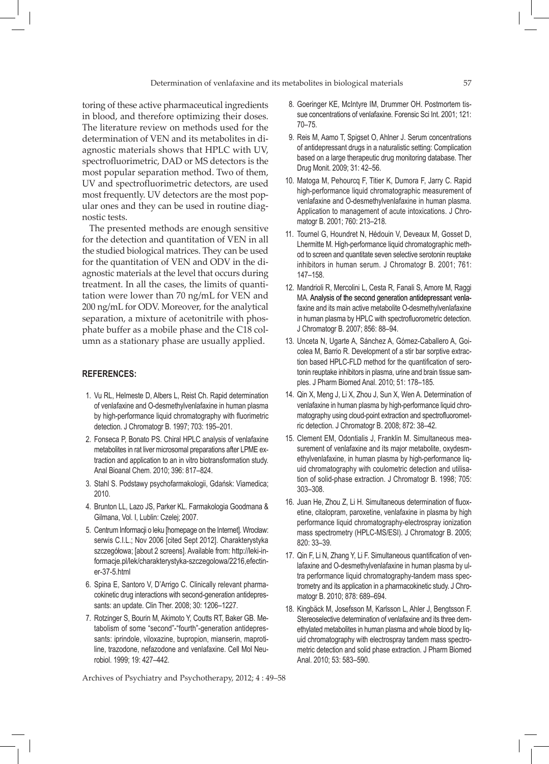toring of these active pharmaceutical ingredients in blood, and therefore optimizing their doses. The literature review on methods used for the determination of VEN and its metabolites in diagnostic materials shows that HPLC with UV, spectrofluorimetric, DAD or MS detectors is the most popular separation method. Two of them, UV and spectrofluorimetric detectors, are used most frequently. UV detectors are the most popular ones and they can be used in routine diagnostic tests.

The presented methods are enough sensitive for the detection and quantitation of VEN in all the studied biological matrices. They can be used for the quantitation of VEN and ODV in the diagnostic materials at the level that occurs during treatment. In all the cases, the limits of quantitation were lower than 70 ng/mL for VEN and 200 ng/mL for ODV. Moreover, for the analytical separation, a mixture of acetonitrile with phosphate buffer as a mobile phase and the C18 column as a stationary phase are usually applied.

### **REFERENCES:**

- 1. Vu RL, Helmeste D, Albers L, Reist Ch. Rapid determination of venlafaxine and O-desmethylvenlafaxine in human plasma by high-performance liquid chromatography with fluorimetric detection. J Chromatogr B. 1997; 703: 195–201.
- 2. Fonseca P, Bonato PS. Chiral HPLC analysis of venlafaxine metabolites in rat liver microsomal preparations after LPME extraction and application to an in vitro biotransformation study. Anal Bioanal Chem. 2010; 396: 817–824.
- 3. Stahl S. Podstawy psychofarmakologii, Gdańsk: Viamedica; 2010.
- 4. Brunton LL, Lazo JS, Parker KL. Farmakologia Goodmana & Gilmana, Vol. I, Lublin: Czelej; 2007.
- 5. Centrum Informacji o leku [homepage on the Internet]. Wrocław: serwis C.I.L.; Nov 2006 [cited Sept 2012]. Charakterystyka szczegółowa; [about 2 screens]. Available from: http://leki-informacje.pl/lek/charakterystyka-szczegolowa/2216,efectiner-37-5.html
- 6. Spina E, Santoro V, D'Arrigo C. Clinically relevant pharmacokinetic drug interactions with second-generation antidepressants: an update. Clin Ther. 2008; 30: 1206–1227.
- 7. Rotzinger S, Bourin M, Akimoto Y, Coutts RT, Baker GB. Metabolism of some "second"-"fourth"-generation antidepressants: iprindole, viloxazine, bupropion, mianserin, maprotiline, trazodone, nefazodone and venlafaxine. Cell Mol Neurobiol. 1999; 19: 427–442.

- 8. Goeringer KE, McIntyre IM, Drummer OH. Postmortem tissue concentrations of venlafaxine. Forensic Sci Int. 2001; 121: 70–75.
- 9. Reis M, Aamo T, Spigset O, Ahlner J. Serum concentrations of antidepressant drugs in a naturalistic setting: Complication based on a large therapeutic drug monitoring database. Ther Drug Monit. 2009; 31: 42–56.
- 10. Matoga M, Pehourcq F, Titier K, Dumora F, Jarry C. Rapid high-performance liquid chromatographic measurement of venlafaxine and O-desmethylvenlafaxine in human plasma. Application to management of acute intoxications. J Chromatogr B. 2001; 760: 213–218.
- 11. Tournel G, Houndret N, Hédouin V, Deveaux M, Gosset D, Lhermitte M. High-performance liquid chromatographic method to screen and quantitate seven selective serotonin reuptake inhibitors in human serum. J Chromatogr B. 2001; 761: 147–158.
- 12. Mandrioli R, Mercolini L, Cesta R, Fanali S, Amore M, Raggi MA. Analysis of the second generation antidepressant venlafaxine and its main active metabolite O-desmethylvenlafaxine in human plasma by HPLC with spectrofluorometric detection. J Chromatogr B. 2007; 856: 88–94.
- 13. Unceta N, Ugarte A, Sánchez A, Gómez-Caballero A, Goicolea M, Barrio R. Development of a stir bar sorptive extraction based HPLC-FLD method for the quantification of serotonin reuptake inhibitors in plasma, urine and brain tissue samples. J Pharm Biomed Anal. 2010; 51: 178–185.
- 14. Qin X, Meng J, Li X, Zhou J, Sun X, Wen A. Determination of venlafaxine in human plasma by high-performance liquid chromatography using cloud-point extraction and spectrofluorometric detection. J Chromatogr B. 2008; 872: 38–42.
- 15. Clement EM, Odontialis J, Franklin M. Simultaneous measurement of venlafaxine and its major metabolite, oxydesmethylvenlafaxine, in human plasma by high-performance liquid chromatography with coulometric detection and utilisation of solid-phase extraction. J Chromatogr B. 1998; 705: 303–308.
- 16. Juan He, Zhou Z, Li H. Simultaneous determination of fluoxetine, citalopram, paroxetine, venlafaxine in plasma by high performance liquid chromatography-electrospray ionization mass spectrometry (HPLC-MS/ESI). J Chromatogr B. 2005; 820: 33–39.
- 17. Qin F, Li N, Zhang Y, Li F. Simultaneous quantification of venlafaxine and O-desmethylvenlafaxine in human plasma by ultra performance liquid chromatography-tandem mass spectrometry and its application in a pharmacokinetic study. J Chromatogr B. 2010; 878: 689–694.
- 18. Kingbäck M, Josefsson M, Karlsson L, Ahler J, Bengtsson F. Stereoselective determination of venlafaxine and its three demethylated metabolites in human plasma and whole blood by liquid chromatography with electrospray tandem mass spectrometric detection and solid phase extraction. J Pharm Biomed Anal. 2010; 53: 583–590.